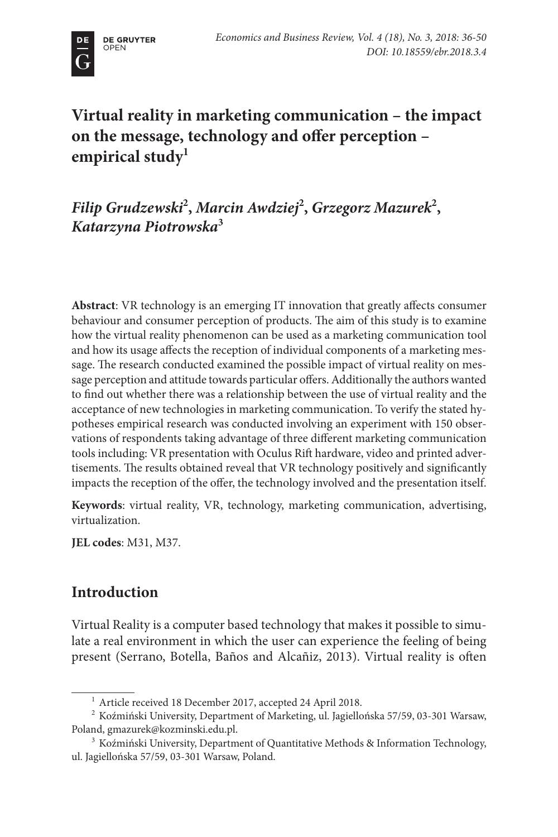# **Virtual reality in marketing communication – the impact on the message, technology and offer perception – empirical study1**

*Filip Grudzewski***<sup>2</sup> ,** *Marcin Awdziej***<sup>2</sup> ,** *Grzegorz Mazurek***<sup>2</sup> ,**  *Katarzyna Piotrowska***<sup>3</sup>**

**Abstract**: VR technology is an emerging IT innovation that greatly affects consumer behaviour and consumer perception of products. The aim of this study is to examine how the virtual reality phenomenon can be used as a marketing communication tool and how its usage affects the reception of individual components of a marketing message. The research conducted examined the possible impact of virtual reality on message perception and attitude towards particular offers. Additionally the authors wanted to find out whether there was a relationship between the use of virtual reality and the acceptance of new technologies in marketing communication. To verify the stated hypotheses empirical research was conducted involving an experiment with 150 observations of respondents taking advantage of three different marketing communication tools including: VR presentation with Oculus Rift hardware, video and printed advertisements. The results obtained reveal that VR technology positively and significantly impacts the reception of the offer, the technology involved and the presentation itself.

**Keywords**: virtual reality, VR, technology, marketing communication, advertising, virtualization.

**JEL codes**: M31, M37.

# **Introduction**

Virtual Reality is a computer based technology that makes it possible to simulate a real environment in which the user can experience the feeling of being present (Serrano, Botella, Baños and Alcañiz, 2013). Virtual reality is often

<sup>&</sup>lt;sup>1</sup> Article received 18 December 2017, accepted 24 April 2018.

<sup>2</sup> Koźmiński University, Department of Marketing, ul. Jagiellońska 57/59, 03-301 Warsaw, Poland, gmazurek@kozminski.edu.pl.

<sup>3</sup> Koźmiński University, Department of Quantitative Methods & Information Technology, ul. Jagiellońska 57/59, 03-301 Warsaw, Poland.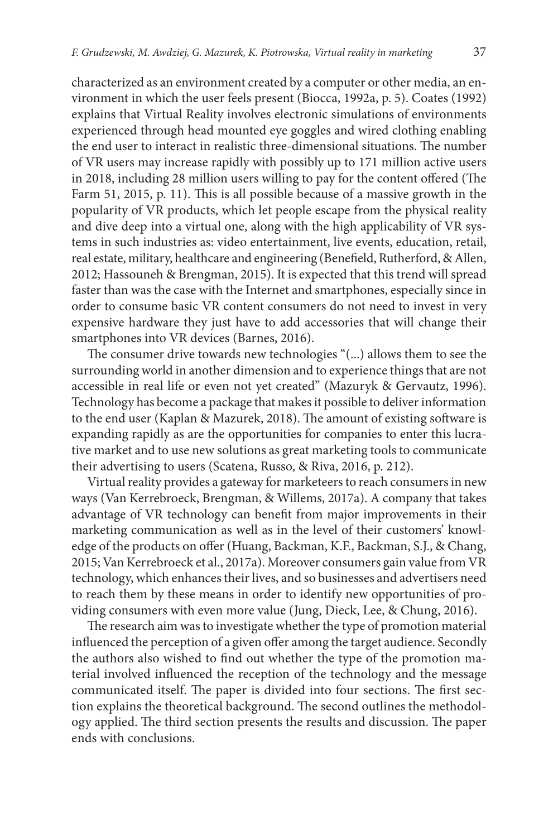characterized as an environment created by a computer or other media, an environment in which the user feels present (Biocca, 1992a, p. 5). Coates (1992) explains that Virtual Reality involves electronic simulations of environments experienced through head mounted eye goggles and wired clothing enabling the end user to interact in realistic three-dimensional situations. The number of VR users may increase rapidly with possibly up to 171 million active users in 2018, including 28 million users willing to pay for the content offered (The Farm 51, 2015, p. 11). This is all possible because of a massive growth in the popularity of VR products, which let people escape from the physical reality and dive deep into a virtual one, along with the high applicability of VR systems in such industries as: video entertainment, live events, education, retail, real estate, military, healthcare and engineering (Benefield, Rutherford, & Allen, 2012; Hassouneh & Brengman, 2015). It is expected that this trend will spread faster than was the case with the Internet and smartphones, especially since in order to consume basic VR content consumers do not need to invest in very expensive hardware they just have to add accessories that will change their smartphones into VR devices (Barnes, 2016).

The consumer drive towards new technologies "(...) allows them to see the surrounding world in another dimension and to experience things that are not accessible in real life or even not yet created" (Mazuryk & Gervautz, 1996). Technology has become a package that makes it possible to deliver information to the end user (Kaplan & Mazurek, 2018). The amount of existing software is expanding rapidly as are the opportunities for companies to enter this lucrative market and to use new solutions as great marketing tools to communicate their advertising to users (Scatena, Russo, & Riva, 2016, p. 212).

Virtual reality provides a gateway for marketeers to reach consumers in new ways (Van Kerrebroeck, Brengman, & Willems, 2017a). A company that takes advantage of VR technology can benefit from major improvements in their marketing communication as well as in the level of their customers' knowledge of the products on offer (Huang, Backman, K.F., Backman, S.J., & Chang, 2015; Van Kerrebroeck et al., 2017a). Moreover consumers gain value from VR technology, which enhances their lives, and so businesses and advertisers need to reach them by these means in order to identify new opportunities of providing consumers with even more value (Jung, Dieck, Lee, & Chung, 2016).

The research aim was to investigate whether the type of promotion material influenced the perception of a given offer among the target audience. Secondly the authors also wished to find out whether the type of the promotion material involved influenced the reception of the technology and the message communicated itself. The paper is divided into four sections. The first section explains the theoretical background. The second outlines the methodology applied. The third section presents the results and discussion. The paper ends with conclusions.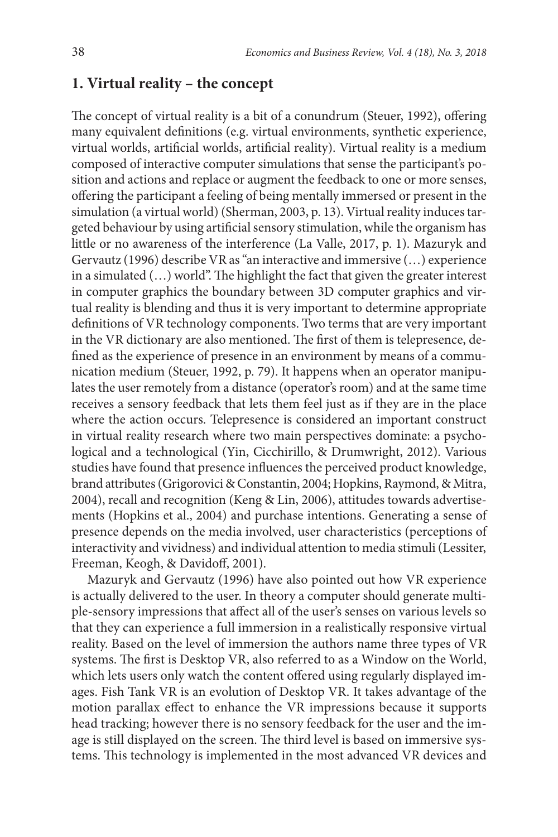#### **1. Virtual reality – the concept**

The concept of virtual reality is a bit of a conundrum (Steuer, 1992), offering many equivalent definitions (e.g. virtual environments, synthetic experience, virtual worlds, artificial worlds, artificial reality). Virtual reality is a medium composed of interactive computer simulations that sense the participant's position and actions and replace or augment the feedback to one or more senses, offering the participant a feeling of being mentally immersed or present in the simulation (a virtual world) (Sherman, 2003, p. 13). Virtual reality induces targeted behaviour by using artificial sensory stimulation, while the organism has little or no awareness of the interference (La Valle, 2017, p. 1). Mazuryk and Gervautz (1996) describe VR as "an interactive and immersive (…) experience in a simulated (…) world". The highlight the fact that given the greater interest in computer graphics the boundary between 3D computer graphics and virtual reality is blending and thus it is very important to determine appropriate definitions of VR technology components. Two terms that are very important in the VR dictionary are also mentioned. The first of them is telepresence, defined as the experience of presence in an environment by means of a communication medium (Steuer, 1992, p. 79). It happens when an operator manipulates the user remotely from a distance (operator's room) and at the same time receives a sensory feedback that lets them feel just as if they are in the place where the action occurs. Telepresence is considered an important construct in virtual reality research where two main perspectives dominate: a psychological and a technological (Yin, Cicchirillo, & Drumwright, 2012). Various studies have found that presence influences the perceived product knowledge, brand attributes (Grigorovici & Constantin, 2004; Hopkins, Raymond, & Mitra, 2004), recall and recognition (Keng & Lin, 2006), attitudes towards advertisements (Hopkins et al., 2004) and purchase intentions. Generating a sense of presence depends on the media involved, user characteristics (perceptions of interactivity and vividness) and individual attention to media stimuli (Lessiter, Freeman, Keogh, & Davidoff, 2001).

Mazuryk and Gervautz (1996) have also pointed out how VR experience is actually delivered to the user. In theory a computer should generate multiple-sensory impressions that affect all of the user's senses on various levels so that they can experience a full immersion in a realistically responsive virtual reality. Based on the level of immersion the authors name three types of VR systems. The first is Desktop VR, also referred to as a Window on the World, which lets users only watch the content offered using regularly displayed images. Fish Tank VR is an evolution of Desktop VR. It takes advantage of the motion parallax effect to enhance the VR impressions because it supports head tracking; however there is no sensory feedback for the user and the image is still displayed on the screen. The third level is based on immersive systems. This technology is implemented in the most advanced VR devices and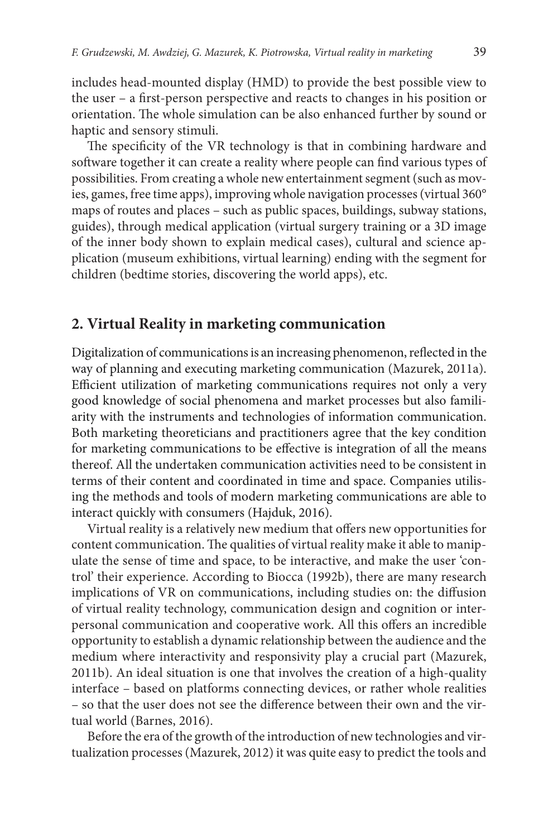includes head-mounted display (HMD) to provide the best possible view to the user – a first-person perspective and reacts to changes in his position or orientation. The whole simulation can be also enhanced further by sound or haptic and sensory stimuli.

The specificity of the VR technology is that in combining hardware and software together it can create a reality where people can find various types of possibilities. From creating a whole new entertainment segment (such as movies, games, free time apps), improving whole navigation processes (virtual 360° maps of routes and places – such as public spaces, buildings, subway stations, guides), through medical application (virtual surgery training or a 3D image of the inner body shown to explain medical cases), cultural and science application (museum exhibitions, virtual learning) ending with the segment for children (bedtime stories, discovering the world apps), etc.

#### **2. Virtual Reality in marketing communication**

Digitalization of communications is an increasing phenomenon, reflected in the way of planning and executing marketing communication (Mazurek, 2011a). Efficient utilization of marketing communications requires not only a very good knowledge of social phenomena and market processes but also familiarity with the instruments and technologies of information communication. Both marketing theoreticians and practitioners agree that the key condition for marketing communications to be effective is integration of all the means thereof. All the undertaken communication activities need to be consistent in terms of their content and coordinated in time and space. Companies utilising the methods and tools of modern marketing communications are able to interact quickly with consumers (Hajduk, 2016).

Virtual reality is a relatively new medium that offers new opportunities for content communication. The qualities of virtual reality make it able to manipulate the sense of time and space, to be interactive, and make the user 'control' their experience. According to Biocca (1992b), there are many research implications of VR on communications, including studies on: the diffusion of virtual reality technology, communication design and cognition or interpersonal communication and cooperative work. All this offers an incredible opportunity to establish a dynamic relationship between the audience and the medium where interactivity and responsivity play a crucial part (Mazurek, 2011b). An ideal situation is one that involves the creation of a high-quality interface – based on platforms connecting devices, or rather whole realities – so that the user does not see the difference between their own and the virtual world (Barnes, 2016).

Before the era of the growth of the introduction of new technologies and virtualization processes (Mazurek, 2012) it was quite easy to predict the tools and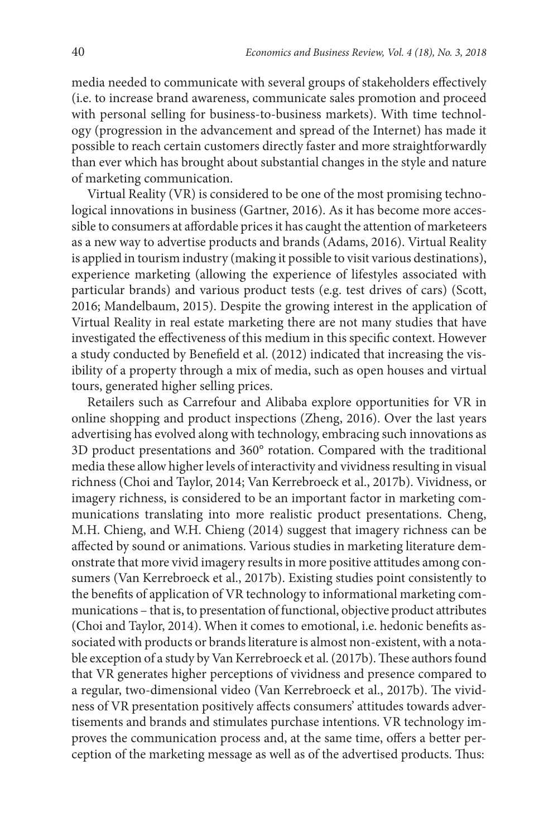media needed to communicate with several groups of stakeholders effectively (i.e. to increase brand awareness, communicate sales promotion and proceed with personal selling for business-to-business markets). With time technology (progression in the advancement and spread of the Internet) has made it possible to reach certain customers directly faster and more straightforwardly than ever which has brought about substantial changes in the style and nature of marketing communication.

Virtual Reality (VR) is considered to be one of the most promising technological innovations in business (Gartner, 2016). As it has become more accessible to consumers at affordable prices it has caught the attention of marketeers as a new way to advertise products and brands (Adams, 2016). Virtual Reality is applied in tourism industry (making it possible to visit various destinations), experience marketing (allowing the experience of lifestyles associated with particular brands) and various product tests (e.g. test drives of cars) (Scott, 2016; Mandelbaum, 2015). Despite the growing interest in the application of Virtual Reality in real estate marketing there are not many studies that have investigated the effectiveness of this medium in this specific context. However a study conducted by Benefield et al. (2012) indicated that increasing the visibility of a property through a mix of media, such as open houses and virtual tours, generated higher selling prices.

Retailers such as Carrefour and Alibaba explore opportunities for VR in online shopping and product inspections (Zheng, 2016). Over the last years advertising has evolved along with technology, embracing such innovations as 3D product presentations and 360° rotation. Compared with the traditional media these allow higher levels of interactivity and vividness resulting in visual richness (Choi and Taylor, 2014; Van Kerrebroeck et al., 2017b). Vividness, or imagery richness, is considered to be an important factor in marketing communications translating into more realistic product presentations. Cheng, M.H. Chieng, and W.H. Chieng (2014) suggest that imagery richness can be affected by sound or animations. Various studies in marketing literature demonstrate that more vivid imagery results in more positive attitudes among consumers (Van Kerrebroeck et al., 2017b). Existing studies point consistently to the benefits of application of VR technology to informational marketing communications – that is, to presentation of functional, objective product attributes (Choi and Taylor, 2014). When it comes to emotional, i.e. hedonic benefits associated with products or brands literature is almost non-existent, with a notable exception of a study by Van Kerrebroeck et al. (2017b). These authors found that VR generates higher perceptions of vividness and presence compared to a regular, two-dimensional video (Van Kerrebroeck et al., 2017b). The vividness of VR presentation positively affects consumers' attitudes towards advertisements and brands and stimulates purchase intentions. VR technology improves the communication process and, at the same time, offers a better perception of the marketing message as well as of the advertised products. Thus: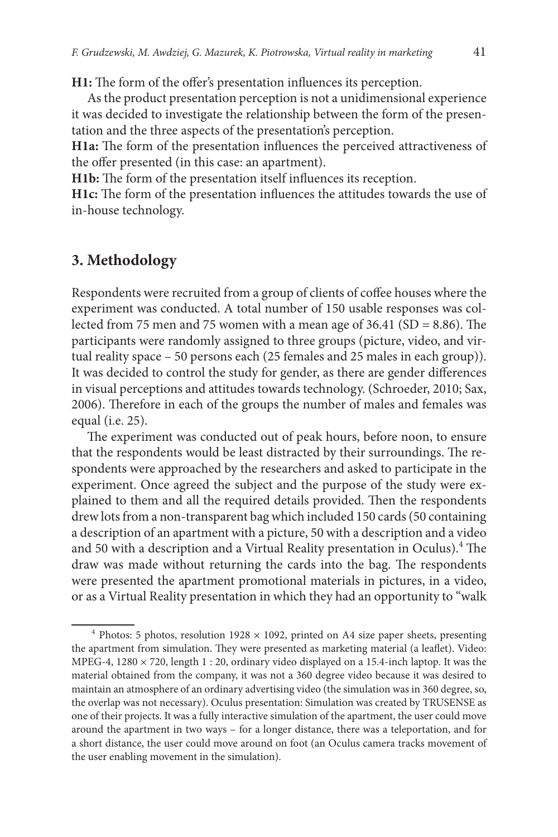**H1:** The form of the offer's presentation influences its perception.

As the product presentation perception is not a unidimensional experience it was decided to investigate the relationship between the form of the presentation and the three aspects of the presentation's perception.

**H1a:** The form of the presentation influences the perceived attractiveness of the offer presented (in this case: an apartment).

**H1b:** The form of the presentation itself influences its reception.

**H1c:** The form of the presentation influences the attitudes towards the use of in-house technology.

#### **3. Methodology**

Respondents were recruited from a group of clients of coffee houses where the experiment was conducted. A total number of 150 usable responses was collected from 75 men and 75 women with a mean age of  $36.41$  (SD = 8.86). The participants were randomly assigned to three groups (picture, video, and virtual reality space – 50 persons each (25 females and 25 males in each group)). It was decided to control the study for gender, as there are gender differences in visual perceptions and attitudes towards technology. (Schroeder, 2010; Sax, 2006). Therefore in each of the groups the number of males and females was equal (i.e. 25).

The experiment was conducted out of peak hours, before noon, to ensure that the respondents would be least distracted by their surroundings. The respondents were approached by the researchers and asked to participate in the experiment. Once agreed the subject and the purpose of the study were explained to them and all the required details provided. Then the respondents drew lots from a non-transparent bag which included 150 cards (50 containing a description of an apartment with a picture, 50 with a description and a video and 50 with a description and a Virtual Reality presentation in Oculus).<sup>4</sup> The draw was made without returning the cards into the bag. The respondents were presented the apartment promotional materials in pictures, in a video, or as a Virtual Reality presentation in which they had an opportunity to "walk

<sup>&</sup>lt;sup>4</sup> Photos: 5 photos, resolution 1928  $\times$  1092, printed on A4 size paper sheets, presenting the apartment from simulation. They were presented as marketing material (a leaflet). Video: MPEG-4,  $1280 \times 720$ , length 1 : 20, ordinary video displayed on a 15.4-inch laptop. It was the material obtained from the company, it was not a 360 degree video because it was desired to maintain an atmosphere of an ordinary advertising video (the simulation was in 360 degree, so, the overlap was not necessary). Oculus presentation: Simulation was created by TRUSENSE as one of their projects. It was a fully interactive simulation of the apartment, the user could move around the apartment in two ways – for a longer distance, there was a teleportation, and for a short distance, the user could move around on foot (an Oculus camera tracks movement of the user enabling movement in the simulation).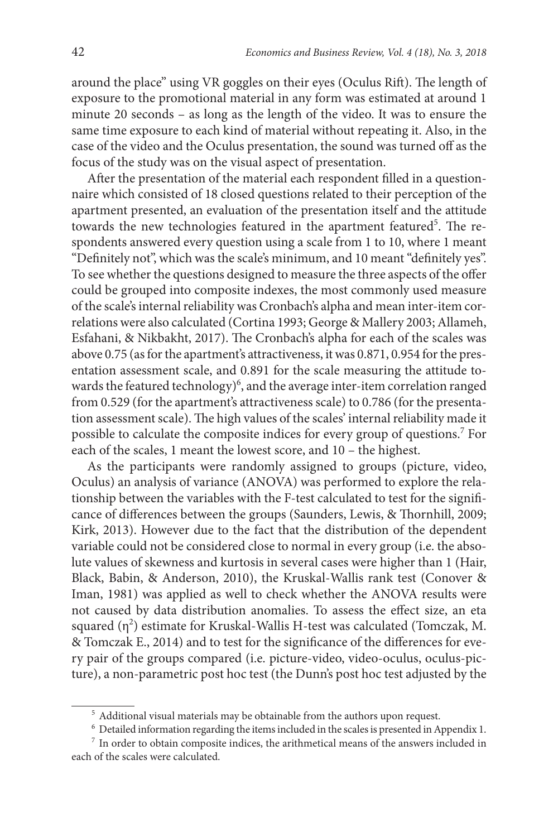around the place" using VR goggles on their eyes (Oculus Rift). The length of exposure to the promotional material in any form was estimated at around 1 minute 20 seconds – as long as the length of the video. It was to ensure the same time exposure to each kind of material without repeating it. Also, in the case of the video and the Oculus presentation, the sound was turned off as the focus of the study was on the visual aspect of presentation.

After the presentation of the material each respondent filled in a questionnaire which consisted of 18 closed questions related to their perception of the apartment presented, an evaluation of the presentation itself and the attitude towards the new technologies featured in the apartment featured<sup>5</sup>. The respondents answered every question using a scale from 1 to 10, where 1 meant "Definitely not", which was the scale's minimum, and 10 meant "definitely yes". To see whether the questions designed to measure the three aspects of the offer could be grouped into composite indexes, the most commonly used measure of the scale's internal reliability was Cronbach's alpha and mean inter-item correlations were also calculated (Cortina 1993; George & Mallery 2003; Allameh, Esfahani, & Nikbakht, 2017). The Cronbach's alpha for each of the scales was above 0.75 (as for the apartment's attractiveness, it was 0.871, 0.954 for the presentation assessment scale, and 0.891 for the scale measuring the attitude towards the featured technology)<sup>6</sup>, and the average inter-item correlation ranged from 0.529 (for the apartment's attractiveness scale) to 0.786 (for the presentation assessment scale). The high values of the scales' internal reliability made it possible to calculate the composite indices for every group of questions.<sup>7</sup> For each of the scales, 1 meant the lowest score, and 10 – the highest.

As the participants were randomly assigned to groups (picture, video, Oculus) an analysis of variance (ANOVA) was performed to explore the relationship between the variables with the F-test calculated to test for the significance of differences between the groups (Saunders, Lewis, & Thornhill, 2009; Kirk, 2013). However due to the fact that the distribution of the dependent variable could not be considered close to normal in every group (i.e. the absolute values of skewness and kurtosis in several cases were higher than 1 (Hair, Black, Babin, & Anderson, 2010), the Kruskal-Wallis rank test (Conover & Iman, 1981) was applied as well to check whether the ANOVA results were not caused by data distribution anomalies. To assess the effect size, an eta squared  $(\eta^2)$  estimate for Kruskal-Wallis H-test was calculated (Tomczak, M. & Tomczak E., 2014) and to test for the significance of the differences for every pair of the groups compared (i.e. picture-video, video-oculus, oculus-picture), a non-parametric post hoc test (the Dunn's post hoc test adjusted by the

<sup>&</sup>lt;sup>5</sup> Additional visual materials may be obtainable from the authors upon request.

 $6$  Detailed information regarding the items included in the scales is presented in Appendix 1.

 $7$  In order to obtain composite indices, the arithmetical means of the answers included in each of the scales were calculated.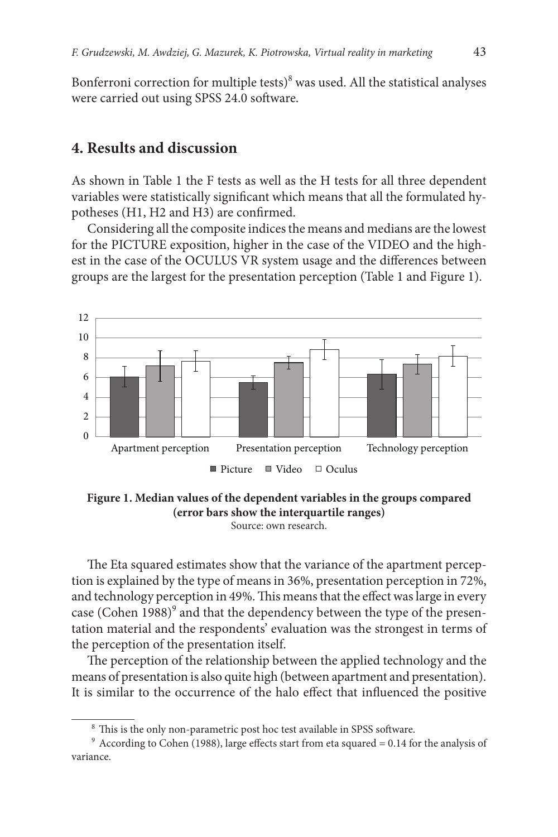Bonferroni correction for multiple tests) $\delta$  was used. All the statistical analyses were carried out using SPSS 24.0 software.

#### **4. Results and discussion**

As shown in Table 1 the F tests as well as the H tests for all three dependent variables were statistically significant which means that all the formulated hypotheses (H1, H2 and H3) are confirmed.

Considering all the composite indices the means and medians are the lowest for the PICTURE exposition, higher in the case of the VIDEO and the highest in the case of the OCULUS VR system usage and the differences between groups are the largest for the presentation perception (Table 1 and Figure 1).



**Figure 1. Median values of the dependent variables in the groups compared (error bars show the interquartile ranges)** Source: own research.

The Eta squared estimates show that the variance of the apartment perception is explained by the type of means in 36%, presentation perception in 72%, and technology perception in 49%. This means that the effect was large in every case (Cohen 1988)<sup>9</sup> and that the dependency between the type of the presentation material and the respondents' evaluation was the strongest in terms of the perception of the presentation itself.

The perception of the relationship between the applied technology and the means of presentation is also quite high (between apartment and presentation). It is similar to the occurrence of the halo effect that influenced the positive

<sup>8</sup> This is the only non-parametric post hoc test available in SPSS software.

 $9$  According to Cohen (1988), large effects start from eta squared = 0.14 for the analysis of variance.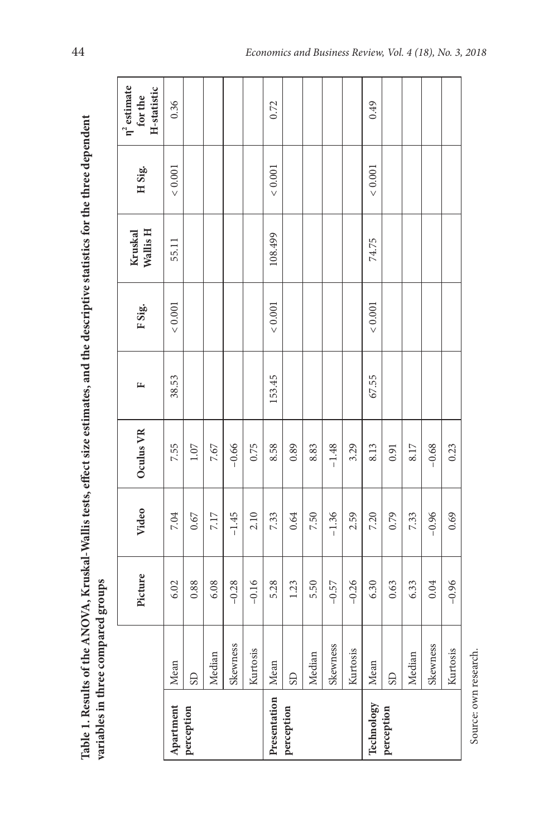|                      | variables in three compared groups |         |         |           |        |               |                     |             |                                             |
|----------------------|------------------------------------|---------|---------|-----------|--------|---------------|---------------------|-------------|---------------------------------------------|
|                      |                                    | Picture | Video   | Oculus VR | щ      | F Sig.        | Wallis H<br>Kruskal | H Sig.      | $\eta^2$ estimate<br>H-statistic<br>for the |
| Apartment            | Mean                               | 6.02    | 7.04    | 7.55      | 38.53  | < 0.001       | 55.11               | $< 0.001$   | 0.36                                        |
| perception           | <b>GS</b>                          | 0.88    | 0.67    | $1.07\,$  |        |               |                     |             |                                             |
|                      | Median                             | 6.08    | 7.17    | 7.67      |        |               |                     |             |                                             |
|                      | Skewness                           | $-0.28$ | $-1.45$ | $-0.66$   |        |               |                     |             |                                             |
|                      | Kurtosis                           | $-0.16$ | 2.10    | 0.75      |        |               |                     |             |                                             |
| Presentation         | Mean                               | 5.28    | 7.33    | 8.58      | 153.45 | < 0.001       | 108.499             | ${}< 0.001$ | 0.72                                        |
| perception           | <b>GS</b>                          | 1.23    | 0.64    | 0.89      |        |               |                     |             |                                             |
|                      | Median                             | 5.50    | 7.50    | 8.83      |        |               |                     |             |                                             |
|                      | Skewness                           | $-0.57$ | $-1.36$ | $-1.48$   |        |               |                     |             |                                             |
|                      | Kurtosis                           | $-0.26$ | 2.59    | 3.29      |        |               |                     |             |                                             |
| Technology           | Mean                               | 6.30    | 7.20    | 8.13      | 67.55  | ${}_{<0.001}$ | 74.75               | $< 0.001$   | 64.0                                        |
| perception           | SD                                 | 0.63    | 0.79    | 0.91      |        |               |                     |             |                                             |
|                      | Median                             | 6.33    | 7.33    | 8.17      |        |               |                     |             |                                             |
|                      | Skewness                           | 0.04    | $-0.96$ | $-0.68$   |        |               |                     |             |                                             |
|                      | Kurtosis                           | $-0.96$ | 0.69    | 0.23      |        |               |                     |             |                                             |
| Source: own research |                                    |         |         |           |        |               |                     |             |                                             |

T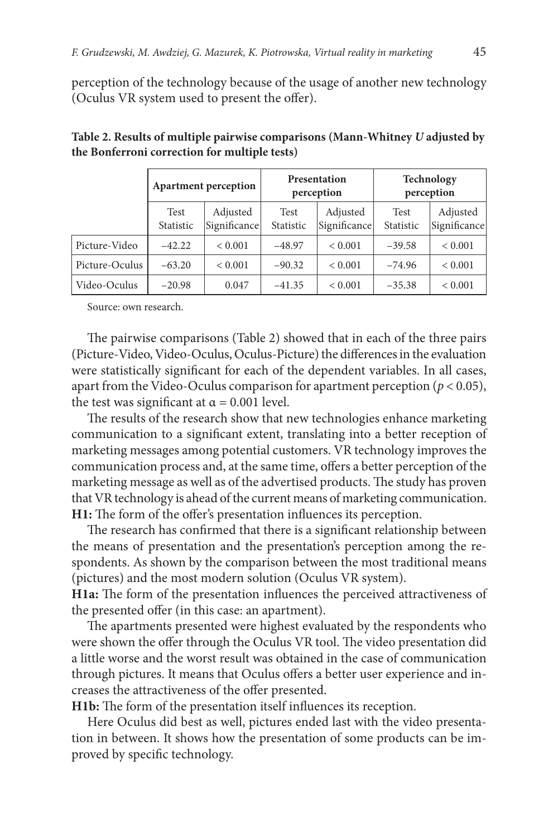perception of the technology because of the usage of another new technology (Oculus VR system used to present the offer).

|                | <b>Apartment perception</b> |                          | <b>Presentation</b><br>perception |                          | Technology<br>perception |                          |
|----------------|-----------------------------|--------------------------|-----------------------------------|--------------------------|--------------------------|--------------------------|
|                | Test<br>Statistic           | Adjusted<br>Significance | Test<br>Statistic                 | Adjusted<br>Significance | Test<br>Statistic        | Adjusted<br>Significance |
| Picture-Video  | $-42.22$                    | ${}< 0.001$              | $-48.97$                          | ${}< 0.001$              | $-39.58$                 | ${}< 0.001$              |
| Picture-Oculus | $-63.20$                    | ${}< 0.001$              | $-90.32$                          | ${}< 0.001$              | $-74.96$                 | ${}< 0.001$              |
| Video-Oculus   | $-20.98$                    | 0.047                    | $-41.35$                          | ${}< 0.001$              | $-35.38$                 | ${}< 0.001$              |

**Table 2. Results of multiple pairwise comparisons (Mann-Whitney** *U* **adjusted by the Bonferroni correction for multiple tests)**

Source: own research.

The pairwise comparisons (Table 2) showed that in each of the three pairs (Picture-Video, Video-Oculus, Oculus-Picture) the differences in the evaluation were statistically significant for each of the dependent variables. In all cases, apart from the Video-Oculus comparison for apartment perception ( $p < 0.05$ ), the test was significant at  $\alpha$  = 0.001 level.

The results of the research show that new technologies enhance marketing communication to a significant extent, translating into a better reception of marketing messages among potential customers. VR technology improves the communication process and, at the same time, offers a better perception of the marketing message as well as of the advertised products. The study has proven that VR technology is ahead of the current means of marketing communication. **H1:** The form of the offer's presentation influences its perception.

The research has confirmed that there is a significant relationship between the means of presentation and the presentation's perception among the respondents. As shown by the comparison between the most traditional means (pictures) and the most modern solution (Oculus VR system).

**H1a:** The form of the presentation influences the perceived attractiveness of the presented offer (in this case: an apartment).

The apartments presented were highest evaluated by the respondents who were shown the offer through the Oculus VR tool. The video presentation did a little worse and the worst result was obtained in the case of communication through pictures. It means that Oculus offers a better user experience and increases the attractiveness of the offer presented.

**H1b:** The form of the presentation itself influences its reception.

Here Oculus did best as well, pictures ended last with the video presentation in between. It shows how the presentation of some products can be improved by specific technology.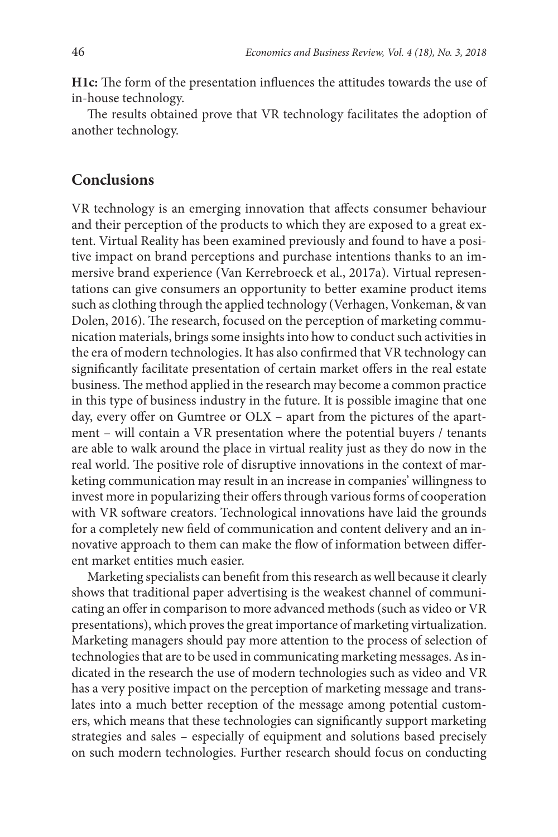**H1c:** The form of the presentation influences the attitudes towards the use of in-house technology.

The results obtained prove that VR technology facilitates the adoption of another technology.

#### **Conclusions**

VR technology is an emerging innovation that affects consumer behaviour and their perception of the products to which they are exposed to a great extent. Virtual Reality has been examined previously and found to have a positive impact on brand perceptions and purchase intentions thanks to an immersive brand experience (Van Kerrebroeck et al., 2017a). Virtual representations can give consumers an opportunity to better examine product items such as clothing through the applied technology (Verhagen, Vonkeman, & van Dolen, 2016). The research, focused on the perception of marketing communication materials, brings some insights into how to conduct such activities in the era of modern technologies. It has also confirmed that VR technology can significantly facilitate presentation of certain market offers in the real estate business. The method applied in the research may become a common practice in this type of business industry in the future. It is possible imagine that one day, every offer on Gumtree or OLX – apart from the pictures of the apartment – will contain a VR presentation where the potential buyers / tenants are able to walk around the place in virtual reality just as they do now in the real world. The positive role of disruptive innovations in the context of marketing communication may result in an increase in companies' willingness to invest more in popularizing their offers through various forms of cooperation with VR software creators. Technological innovations have laid the grounds for a completely new field of communication and content delivery and an innovative approach to them can make the flow of information between different market entities much easier.

Marketing specialists can benefit from this research as well because it clearly shows that traditional paper advertising is the weakest channel of communicating an offer in comparison to more advanced methods (such as video or VR presentations), which proves the great importance of marketing virtualization. Marketing managers should pay more attention to the process of selection of technologies that are to be used in communicating marketing messages. As indicated in the research the use of modern technologies such as video and VR has a very positive impact on the perception of marketing message and translates into a much better reception of the message among potential customers, which means that these technologies can significantly support marketing strategies and sales – especially of equipment and solutions based precisely on such modern technologies. Further research should focus on conducting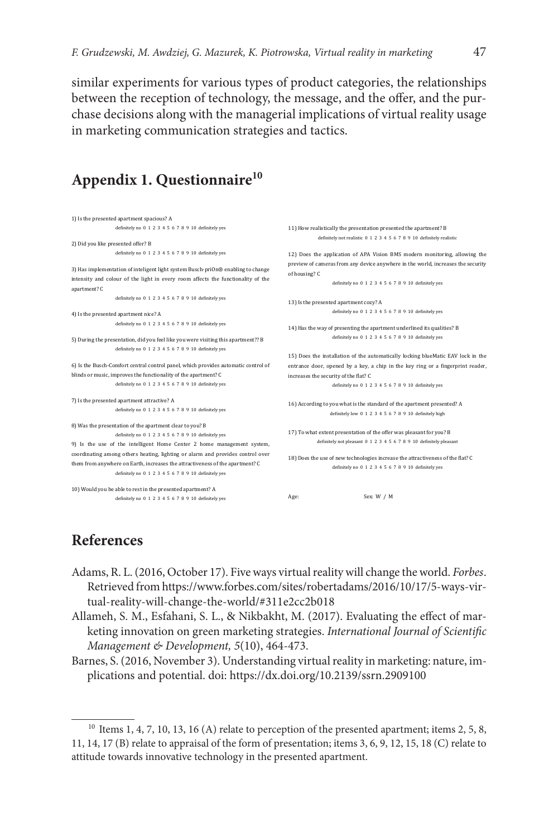similar experiments for various types of product categories, the relationships between the reception of technology, the message, and the offer, and the purchase decisions along with the managerial implications of virtual reality usage in marketing communication strategies and tactics.

## Appendix 1. Questionnaire<sup>10</sup>

```
1) Is the presented apartment spacious? A
                  definitely no 0 1 2 3 4 5 6 7 8 9 10 definitely yes
2) Did you like presented offer? B
                 definitely no 0 1 2 3 4 5 6 7 8 9 10 definitely yes
3) Has implementation of inteligent light system Busch-priOn® enabling to change 
intensity and colour of the light in every room affects the functionality of the 
apartment? C
                  definitely no 0, 1, 2, 3, 4, 5, 6, 7, 8, 9, 10 definitely yes
4) Is the presented apartment nice? A
                  definitely no 0 1 2 3 4 5 6 7 8 9 10 definitely yes
5) During the presentation, did you feel like you were visiting this apartment?? B
                  definitely no 0 1 2 3 4 5 6 7 8 9 10 definitely yes
6) Is the Busch-Comfort central control panel, which provides automatic control of 
blinds or music, improves the functionality of the apartment? C
                  definitely no 0 1 2 3 4 5 6 7 8 9 10 definitely yes
7) Is the presented apartment attractive? A
                 definitely no 0 1 2 3 4 5 6 7 8 9 10 definitely yes
8) Was the presentation of the apartment clear to you? B
                  definitely no 0 1 2 3 4 5 6 7 8 9 10 definitely yes
9) Is the use of the intelligent Home Center 2 home management system, 
coordinating among others heating, lighting or alarm and provides control over 
them from anywhere on Earth, increases the attractiveness of the apartment? C
                  definitely no 0 1 2 3 4 5 6 7 8 9 10 definitely yes
10) Would you be able to rest in the presented apartment? A
                 definitely no 0 1 2 3 4 5 6 7 8 9 10 definitely yes
                                                                                           11) How realistically the presentation presented the apartment? B
                                                                                                       definitely not realistic 0 1 2 3 4 5 6 7 8 9 10 definitely realistic
                                                                                           12) Does the application of APA Vision BMS modern monitoring, allowing the 
                                                                                           preview of cameras from any device anywhere in the world, increases the security 
                                                                                           of housing? C
                                                                                                             definitely no 0 1 2 3 4 5 6 7 8 9 10 definitely yes
                                                                                           13) Is the presented apartment cozy? A
                                                                                                            definitely no 0 1 2 3 4 5 6 7 8 9 10 definitely yes
                                                                                           14) Has the way of presenting the apartment underlined its qualities? B
                                                                                                             definitely no 0 1 2 3 4 5 6 7 8 9 10 definitely yes
                                                                                           15) Does the installation of the automatically locking blueMatic EAV lock in the 
                                                                                           entrance door, opened by a key, a chip in the key ring or a fingerprint reader, 
                                                                                           increases the security of the flat? C
                                                                                                             definitely no 0 1 2 3 4 5 6 7 8 9 10 definitely yes
                                                                                           16) According to you what is the standard of the apartment presented? A
                                                                                                             definitely low 0 1 2 3 4 5 6 7 8 9 10 definitely high
                                                                                           17) To what extent presentation of the offer was pleasant for you? B
                                                                                                      definitely not pleasant 0 1 2 3 4 5 6 7 8 9 10 definitely pleasant
                                                                                           18) Does the use of new technologies increase the attractiveness of the flat? C
                                                                                                            definitely no 0 1 2 3 4 5 6 7 8 9 10 definitely yes
                                                                                          Age: Sex: W / M
```
### **References**

- Adams, R. L. (2016, October 17). Five ways virtual reality will change the world. *Forbes*. Retrieved from https://www.forbes.com/sites/robertadams/2016/10/17/5-ways-virtual-reality-will-change-the-world/#311e2cc2b018
- Allameh, S. M., Esfahani, S. L., & Nikbakht, M. (2017). Evaluating the effect of marketing innovation on green marketing strategies. *International Journal of Scientific Management & Development, 5*(10), 464-473.
- Barnes, S. (2016, November 3). Understanding virtual reality in marketing: nature, implications and potential. doi: https://dx.doi.org/10.2139/ssrn.2909100

<sup>&</sup>lt;sup>10</sup> Items 1, 4, 7, 10, 13, 16 (A) relate to perception of the presented apartment; items 2, 5, 8, 11, 14, 17 (B) relate to appraisal of the form of presentation; items 3, 6, 9, 12, 15, 18 (C) relate to attitude towards innovative technology in the presented apartment.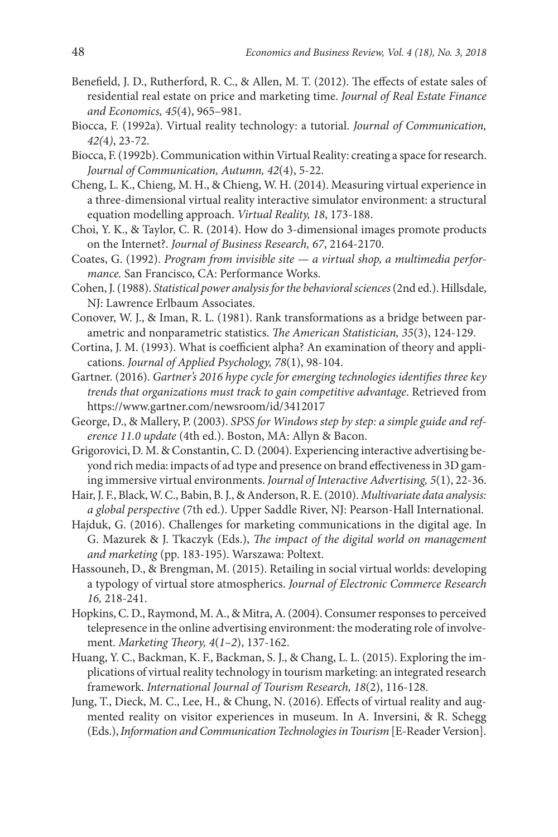- Benefield, J. D., Rutherford, R. C., & Allen, M. T. (2012). The effects of estate sales of residential real estate on price and marketing time. *Journal of Real Estate Finance and Economics, 45*(4), 965–981.
- Biocca, F. (1992a). Virtual reality technology: a tutorial. *Journal of Communication, 42(*4*)*, 23-72.
- Biocca, F. (1992b). Communication within Virtual Reality: creating a space for research. *Journal of Communication, Autumn, 42*(4), 5-22.
- Cheng, L. K., Chieng, M. H., & Chieng, W. H. (2014). Measuring virtual experience in a three-dimensional virtual reality interactive simulator environment: a structural equation modelling approach. *Virtual Reality, 18*, 173-188.
- Choi, Y. K., & Taylor, C. R. (2014). How do 3-dimensional images promote products on the Internet?. *Journal of Business Research, 67*, 2164-2170.
- Coates, G. (1992). *Program from invisible site a virtual shop, a multimedia performance.* San Francisco, CA: Performance Works.
- Cohen, J. (1988). *Statistical power analysis for the behavioral sciences* (2nd ed.). Hillsdale, NJ: Lawrence Erlbaum Associates.
- Conover, W. J., & Iman, R. L. (1981). Rank transformations as a bridge between parametric and nonparametric statistics. *The American Statistician, 35*(3), 124-129.
- Cortina, J. M. (1993). What is coefficient alpha? An examination of theory and applications. *Journal of Applied Psychology, 78*(1), 98-104.
- Gartner. (2016). *Gartner's 2016 hype cycle for emerging technologies identifies three key trends that organizations must track to gain competitive advantage*. Retrieved from https://www.gartner.com/newsroom/id/3412017
- George, D., & Mallery, P. (2003). *SPSS for Windows step by step: a simple guide and reference 11.0 update* (4th ed.). Boston, MA: Allyn & Bacon.
- Grigorovici, D. M. & Constantin, C. D. (2004). Experiencing interactive advertising beyond rich media: impacts of ad type and presence on brand effectiveness in 3D gaming immersive virtual environments. *Journal of Interactive Advertising, 5*(1), 22-36.
- Hair, J. F., Black, W. C., Babin, B. J., & Anderson, R. E. (2010). *Multivariate data analysis: a global perspective* (7th ed.). Upper Saddle River, NJ: Pearson-Hall International.
- Hajduk, G. (2016). Challenges for marketing communications in the digital age. In G. Mazurek & J. Tkaczyk (Eds.), *The impact of the digital world on management and marketing* (pp. 183-195). Warszawa: Poltext.
- Hassouneh, D., & Brengman, M. (2015). Retailing in social virtual worlds: developing a typology of virtual store atmospherics. *Journal of Electronic Commerce Research 16,* 218-241.
- Hopkins, C. D., Raymond, M. A., & Mitra, A. (2004). Consumer responses to perceived telepresence in the online advertising environment: the moderating role of involvement. *Marketing Theory, 4*(*1–2*), 137-162.
- Huang, Y. C., Backman, K. F., Backman, S. J., & Chang, L. L. (2015). Exploring the implications of virtual reality technology in tourism marketing: an integrated research framework. *International Journal of Tourism Research, 18*(2), 116-128.
- Jung, T., Dieck, M. C., Lee, H., & Chung, N. (2016). Effects of virtual reality and augmented reality on visitor experiences in museum. In A. Inversini, & R. Schegg (Eds.), *Information and Communication Technologies in Tourism* [E-Reader Version].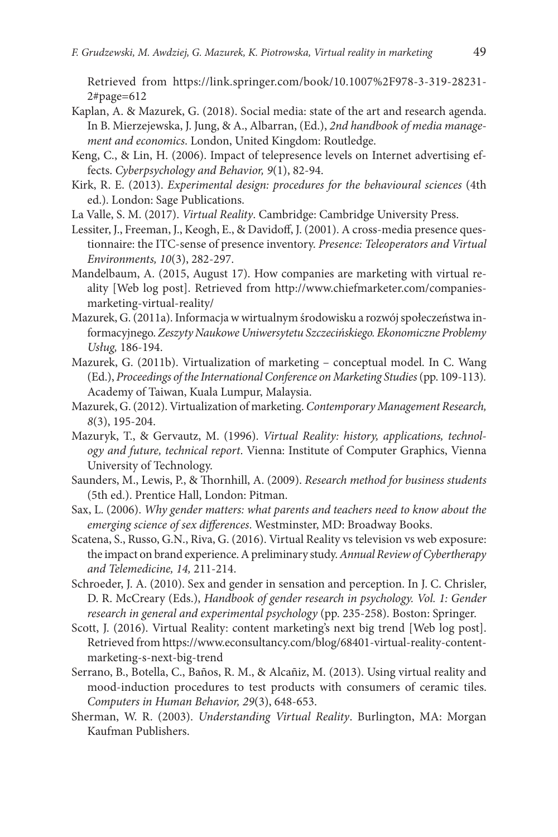Retrieved from https://link.springer.com/book/10.1007%2F978-3-319-28231- 2#page=612

- Kaplan, A. & Mazurek, G. (2018). Social media: state of the art and research agenda. In B. Mierzejewska, J. Jung, & A., Albarran, (Ed.), *2nd handbook of media management and economics*. London, United Kingdom: Routledge.
- Keng, C., & Lin, H. (2006). Impact of telepresence levels on Internet advertising effects. *Cyberpsychology and Behavior, 9*(1), 82-94.
- Kirk, R. E. (2013). *Experimental design: procedures for the behavioural sciences* (4th ed.). London: Sage Publications.
- La Valle, S. M. (2017). *Virtual Reality*. Cambridge: Cambridge University Press.
- Lessiter, J., Freeman, J., Keogh, E., & Davidoff, J. (2001). A cross-media presence questionnaire: the ITC-sense of presence inventory. *Presence: Teleoperators and Virtual Environments, 10*(3), 282-297.
- Mandelbaum, A. (2015, August 17). How companies are marketing with virtual reality [Web log post]. Retrieved from http://www.chiefmarketer.com/companiesmarketing-virtual-reality/
- Mazurek, G. (2011a). Informacja w wirtualnym środowisku a rozwój społeczeństwa informacyjnego. *Zeszyty Naukowe Uniwersytetu Szczecińskiego. Ekonomiczne Problemy Usług,* 186-194.
- Mazurek, G. (2011b). Virtualization of marketing conceptual model. In C. Wang (Ed.), *Proceedings of the International Conference on Marketing Studies* (pp. 109-113). Academy of Taiwan, Kuala Lumpur, Malaysia.
- Mazurek, G. (2012). Virtualization of marketing. *Contemporary Management Research, 8*(3), 195-204.
- Mazuryk, T., & Gervautz, M. (1996). *Virtual Reality: history, applications, technology and future, technical report*. Vienna: Institute of Computer Graphics, Vienna University of Technology.
- Saunders, M., Lewis, P., & Thornhill, A. (2009). *Research method for business students*  (5th ed.). Prentice Hall, London: Pitman.
- Sax, L. (2006). *Why gender matters: what parents and teachers need to know about the emerging science of sex differences*. Westminster, MD: Broadway Books.
- Scatena, S., Russo, G.N., Riva, G. (2016). Virtual Reality vs television vs web exposure: the impact on brand experience. A preliminary study. *Annual Review of Cybertherapy and Telemedicine, 14,* 211-214.
- Schroeder, J. A. (2010). Sex and gender in sensation and perception. In J. C. Chrisler, D. R. McCreary (Eds.), *Handbook of gender research in psychology. Vol. 1: Gender research in general and experimental psychology* (pp. 235-258). Boston: Springer.
- Scott, J. (2016). Virtual Reality: content marketing's next big trend [Web log post]. Retrieved from https://www.econsultancy.com/blog/68401-virtual-reality-contentmarketing-s-next-big-trend
- Serrano, B., Botella, C., Baños, R. M., & Alcañiz, M. (2013). Using virtual reality and mood-induction procedures to test products with consumers of ceramic tiles. *Computers in Human Behavior, 29*(3), 648-653.
- Sherman, W. R. (2003). *Understanding Virtual Reality*. Burlington, MA: Morgan Kaufman Publishers.